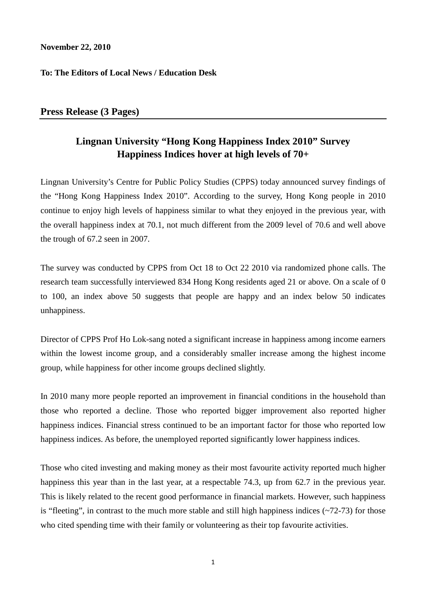## **November 22, 2010**

## **To: The Editors of Local News / Education Desk**

## **Press Release (3 Pages)**

## **Lingnan University "Hong Kong Happiness Index 2010" Survey Happiness Indices hover at high levels of 70+**

Lingnan University's Centre for Public Policy Studies (CPPS) today announced survey findings of the "Hong Kong Happiness Index 2010". According to the survey, Hong Kong people in 2010 continue to enjoy high levels of happiness similar to what they enjoyed in the previous year, with the overall happiness index at 70.1, not much different from the 2009 level of 70.6 and well above the trough of 67.2 seen in 2007.

The survey was conducted by CPPS from Oct 18 to Oct 22 2010 via randomized phone calls. The research team successfully interviewed 834 Hong Kong residents aged 21 or above. On a scale of 0 to 100, an index above 50 suggests that people are happy and an index below 50 indicates unhappiness.

Director of CPPS Prof Ho Lok-sang noted a significant increase in happiness among income earners within the lowest income group, and a considerably smaller increase among the highest income group, while happiness for other income groups declined slightly.

In 2010 many more people reported an improvement in financial conditions in the household than those who reported a decline. Those who reported bigger improvement also reported higher happiness indices. Financial stress continued to be an important factor for those who reported low happiness indices. As before, the unemployed reported significantly lower happiness indices.

Those who cited investing and making money as their most favourite activity reported much higher happiness this year than in the last year, at a respectable 74.3, up from 62.7 in the previous year. This is likely related to the recent good performance in financial markets. However, such happiness is "fleeting", in contrast to the much more stable and still high happiness indices  $(\sim 72-73)$  for those who cited spending time with their family or volunteering as their top favourite activities.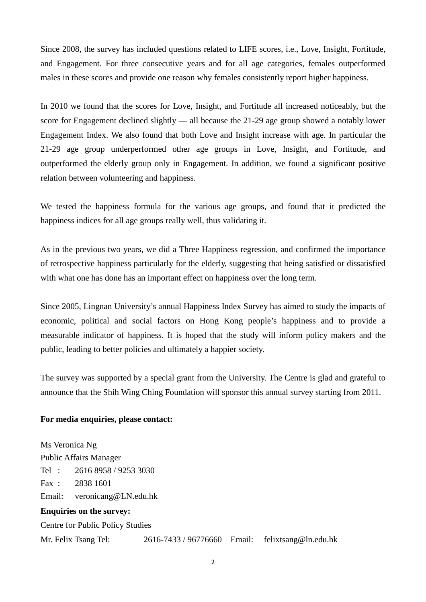Since 2008, the survey has included questions related to LIFE scores, i.e., Love, Insight, Fortitude, and Engagement. For three consecutive years and for all age categories, females outperformed males in these scores and provide one reason why females consistently report higher happiness.

In 2010 we found that the scores for Love, Insight, and Fortitude all increased noticeably, but the score for Engagement declined slightly — all because the 21-29 age group showed a notably lower Engagement Index. We also found that both Love and Insight increase with age. In particular the 21-29 age group underperformed other age groups in Love, Insight, and Fortitude, and outperformed the elderly group only in Engagement. In addition, we found a significant positive relation between volunteering and happiness.

We tested the happiness formula for the various age groups, and found that it predicted the happiness indices for all age groups really well, thus validating it.

As in the previous two years, we did a Three Happiness regression, and confirmed the importance of retrospective happiness particularly for the elderly, suggesting that being satisfied or dissatisfied with what one has done has an important effect on happiness over the long term.

Since 2005, Lingnan University's annual Happiness Index Survey has aimed to study the impacts of economic, political and social factors on Hong Kong people's happiness and to provide a measurable indicator of happiness. It is hoped that the study will inform policy makers and the public, leading to better policies and ultimately a happier society.

The survey was supported by a special grant from the University. The Centre is glad and grateful to announce that the Shih Wing Ching Foundation will sponsor this annual survey starting from 2011.

#### **For media enquiries, please contact:**

Ms Veronica Ng Public Affairs Manager Tel : 2616 8958 / 9253 3030 Fax : 2838 1601 Email: veronicang@LN.edu.hk **Enquiries on the survey:**  Centre for Public Policy Studies Mr. Felix Tsang Tel: 2616-7433 / 96776660 Email: felixtsang@ln.edu.hk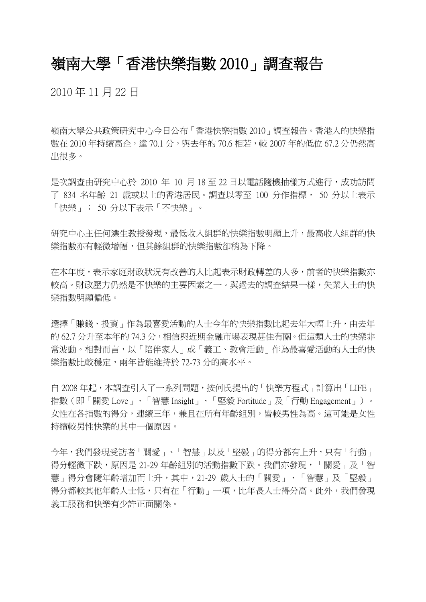# 嶺南大學「香港快樂指數 2010」調查報告

2010 年 11 月 22 日

嶺南大學公共政策研究中心今日公布「香港快樂指數 2010」調查報告。香港人的快樂指 數在 2010 年持續高企,達 70.1 分,與去年的 70.6 相若,較 2007 年的低位 67.2 分仍然高 出很多。

是次調查由研究中心於 2010 年 10 月 18 至 22 日以電話隨機抽樣方式進行,成功訪問 了 834 名年齡 21 歲或以上的香港居民。調查以零至 100 分作指標, 50 分以上表示 「快樂」; 50 分以下表示「不快樂」。

研究中心主任何濼生教授發現,最低收入組群的快樂指數明顯上升,最高收入組群的快 樂指數亦有輕微增幅,但其餘組群的快樂指數卻稍為下降。

在本年度,表示家庭財政狀況有改善的人比起表示財政轉差的人多,前者的快樂指數亦 較高。財政壓力仍然是不快樂的主要因素之一。與過去的調查結果一樣,失業人士的快 樂指數明顯偏低。

選擇「賺錢、投資」作為最喜愛活動的人士今年的快樂指數比起去年大幅上升,由去年 的 62.7 分升至本年的 74.3 分,相信與近期金融市場表現甚佳有關。但這類人士的快樂非 常波動。相對而言,以「陪伴家人」或「義工、教會活動」作為最喜愛活動的人士的快 樂指數比較穩定,兩年皆能維持於 72-73 分的高水平。

自 2008 年起,本調查引入了一系列問題,按何氏提出的「快樂方程式」計算出「LIFE」 指數(即「關愛 Love」、「智慧 Insight」、「堅毅 Fortitude」及「行動 Engagement」)。 女性在各指數的得分,連續三年,兼且在所有年齡組別,皆較男性為高。這可能是女性 持續較男性快樂的其中一個原因。

今年,我們發現受訪者「關愛」、「智慧」以及「堅毅」的得分都有上升,只有「行動」 得分輕微下跌,原因是 21-29 年齡組別的活動指數下跌。我們亦發現,「關愛」及「智 慧」得分會隨年齡增加而上升,其中,21-29 歲人士的「關愛」、「智慧」及「堅毅」 得分都較其他年齡人士低,只有在「行動」一項,比年長人士得分高。此外,我們發現 義工服務和快樂有少許正面關係。